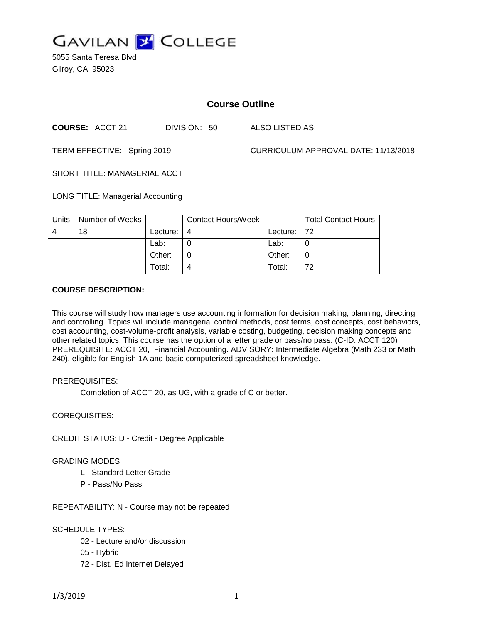

5055 Santa Teresa Blvd Gilroy, CA 95023

# **Course Outline**

**COURSE:** ACCT 21 DIVISION: 50 ALSO LISTED AS:

TERM EFFECTIVE: Spring 2019 CURRICULUM APPROVAL DATE: 11/13/2018

SHORT TITLE: MANAGERIAL ACCT

LONG TITLE: Managerial Accounting

| Units | Number of Weeks |          | <b>Contact Hours/Week</b> |              | <b>Total Contact Hours</b> |
|-------|-----------------|----------|---------------------------|--------------|----------------------------|
| 4     | 18              | Lecture: |                           | Lecture: 172 |                            |
|       |                 | Lab:     |                           | Lab:         |                            |
|       |                 | Other:   |                           | Other:       |                            |
|       |                 | Total:   |                           | Total:       | 72                         |

### **COURSE DESCRIPTION:**

This course will study how managers use accounting information for decision making, planning, directing and controlling. Topics will include managerial control methods, cost terms, cost concepts, cost behaviors, cost accounting, cost-volume-profit analysis, variable costing, budgeting, decision making concepts and other related topics. This course has the option of a letter grade or pass/no pass. (C-ID: ACCT 120) PREREQUISITE: ACCT 20, Financial Accounting. ADVISORY: Intermediate Algebra (Math 233 or Math 240), eligible for English 1A and basic computerized spreadsheet knowledge.

#### PREREQUISITES:

Completion of ACCT 20, as UG, with a grade of C or better.

## COREQUISITES:

CREDIT STATUS: D - Credit - Degree Applicable

## GRADING MODES

- L Standard Letter Grade
- P Pass/No Pass

REPEATABILITY: N - Course may not be repeated

## SCHEDULE TYPES:

- 02 Lecture and/or discussion
- 05 Hybrid
- 72 Dist. Ed Internet Delayed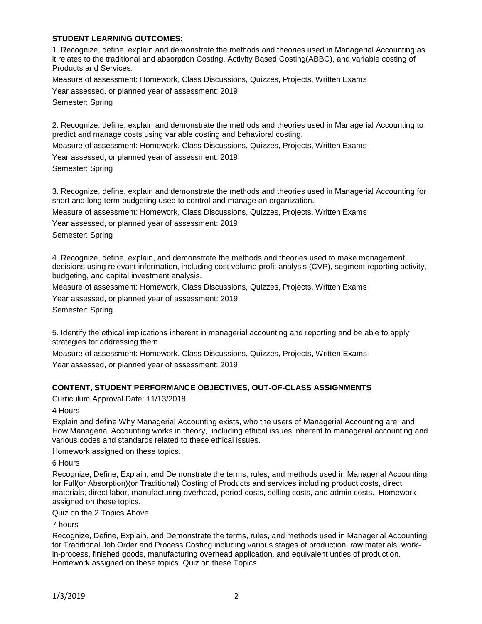## **STUDENT LEARNING OUTCOMES:**

1. Recognize, define, explain and demonstrate the methods and theories used in Managerial Accounting as it relates to the traditional and absorption Costing, Activity Based Costing(ABBC), and variable costing of Products and Services.

Measure of assessment: Homework, Class Discussions, Quizzes, Projects, Written Exams

Year assessed, or planned year of assessment: 2019 Semester: Spring

2. Recognize, define, explain and demonstrate the methods and theories used in Managerial Accounting to predict and manage costs using variable costing and behavioral costing.

Measure of assessment: Homework, Class Discussions, Quizzes, Projects, Written Exams

Year assessed, or planned year of assessment: 2019 Semester: Spring

3. Recognize, define, explain and demonstrate the methods and theories used in Managerial Accounting for short and long term budgeting used to control and manage an organization.

Measure of assessment: Homework, Class Discussions, Quizzes, Projects, Written Exams

Year assessed, or planned year of assessment: 2019 Semester: Spring

4. Recognize, define, explain, and demonstrate the methods and theories used to make management decisions using relevant information, including cost volume profit analysis (CVP), segment reporting activity, budgeting, and capital investment analysis.

Measure of assessment: Homework, Class Discussions, Quizzes, Projects, Written Exams

Year assessed, or planned year of assessment: 2019

Semester: Spring

5. Identify the ethical implications inherent in managerial accounting and reporting and be able to apply strategies for addressing them.

Measure of assessment: Homework, Class Discussions, Quizzes, Projects, Written Exams Year assessed, or planned year of assessment: 2019

### **CONTENT, STUDENT PERFORMANCE OBJECTIVES, OUT-OF-CLASS ASSIGNMENTS**

Curriculum Approval Date: 11/13/2018

4 Hours

Explain and define Why Managerial Accounting exists, who the users of Managerial Accounting are, and How Managerial Accounting works in theory, including ethical issues inherent to managerial accounting and various codes and standards related to these ethical issues.

Homework assigned on these topics.

6 Hours

Recognize, Define, Explain, and Demonstrate the terms, rules, and methods used in Managerial Accounting for Full(or Absorption)(or Traditional) Costing of Products and services including product costs, direct materials, direct labor, manufacturing overhead, period costs, selling costs, and admin costs. Homework assigned on these topics.

Quiz on the 2 Topics Above

7 hours

Recognize, Define, Explain, and Demonstrate the terms, rules, and methods used in Managerial Accounting for Traditional Job Order and Process Costing including various stages of production, raw materials, workin-process, finished goods, manufacturing overhead application, and equivalent unties of production. Homework assigned on these topics. Quiz on these Topics.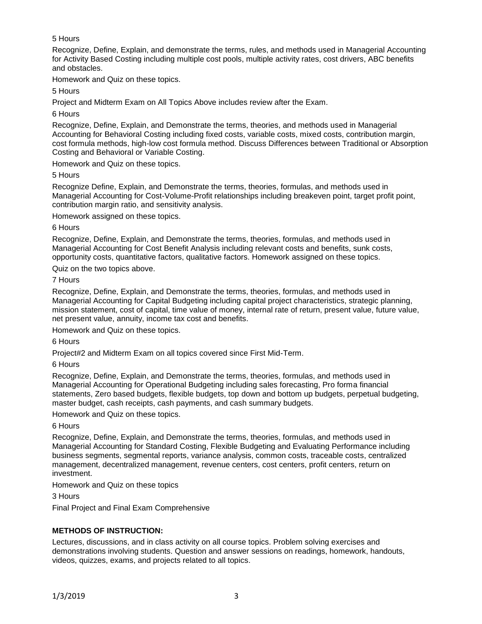# 5 Hours

Recognize, Define, Explain, and demonstrate the terms, rules, and methods used in Managerial Accounting for Activity Based Costing including multiple cost pools, multiple activity rates, cost drivers, ABC benefits and obstacles.

Homework and Quiz on these topics.

5 Hours

Project and Midterm Exam on All Topics Above includes review after the Exam.

6 Hours

Recognize, Define, Explain, and Demonstrate the terms, theories, and methods used in Managerial Accounting for Behavioral Costing including fixed costs, variable costs, mixed costs, contribution margin, cost formula methods, high-low cost formula method. Discuss Differences between Traditional or Absorption Costing and Behavioral or Variable Costing.

Homework and Quiz on these topics.

5 Hours

Recognize Define, Explain, and Demonstrate the terms, theories, formulas, and methods used in Managerial Accounting for Cost-Volume-Profit relationships including breakeven point, target profit point, contribution margin ratio, and sensitivity analysis.

Homework assigned on these topics.

6 Hours

Recognize, Define, Explain, and Demonstrate the terms, theories, formulas, and methods used in Managerial Accounting for Cost Benefit Analysis including relevant costs and benefits, sunk costs, opportunity costs, quantitative factors, qualitative factors. Homework assigned on these topics.

Quiz on the two topics above.

7 Hours

Recognize, Define, Explain, and Demonstrate the terms, theories, formulas, and methods used in Managerial Accounting for Capital Budgeting including capital project characteristics, strategic planning, mission statement, cost of capital, time value of money, internal rate of return, present value, future value, net present value, annuity, income tax cost and benefits.

Homework and Quiz on these topics.

6 Hours

Project#2 and Midterm Exam on all topics covered since First Mid-Term.

6 Hours

Recognize, Define, Explain, and Demonstrate the terms, theories, formulas, and methods used in Managerial Accounting for Operational Budgeting including sales forecasting, Pro forma financial statements, Zero based budgets, flexible budgets, top down and bottom up budgets, perpetual budgeting, master budget, cash receipts, cash payments, and cash summary budgets.

Homework and Quiz on these topics.

6 Hours

Recognize, Define, Explain, and Demonstrate the terms, theories, formulas, and methods used in Managerial Accounting for Standard Costing, Flexible Budgeting and Evaluating Performance including business segments, segmental reports, variance analysis, common costs, traceable costs, centralized management, decentralized management, revenue centers, cost centers, profit centers, return on investment.

Homework and Quiz on these topics

3 Hours

Final Project and Final Exam Comprehensive

# **METHODS OF INSTRUCTION:**

Lectures, discussions, and in class activity on all course topics. Problem solving exercises and demonstrations involving students. Question and answer sessions on readings, homework, handouts, videos, quizzes, exams, and projects related to all topics.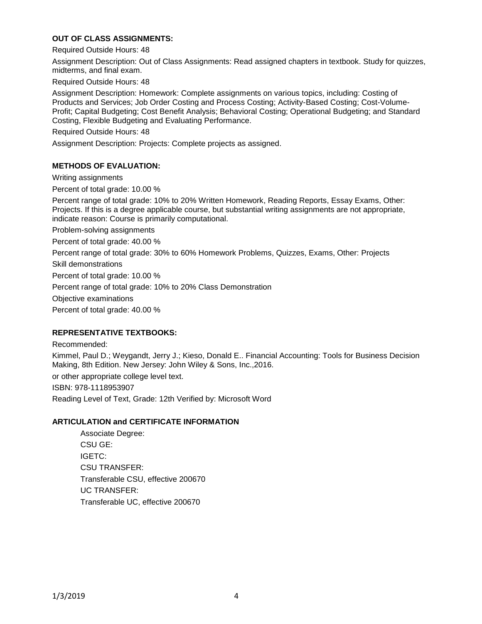# **OUT OF CLASS ASSIGNMENTS:**

Required Outside Hours: 48

Assignment Description: Out of Class Assignments: Read assigned chapters in textbook. Study for quizzes, midterms, and final exam.

Required Outside Hours: 48

Assignment Description: Homework: Complete assignments on various topics, including: Costing of Products and Services; Job Order Costing and Process Costing; Activity-Based Costing; Cost-Volume-Profit; Capital Budgeting; Cost Benefit Analysis; Behavioral Costing; Operational Budgeting; and Standard Costing, Flexible Budgeting and Evaluating Performance.

Required Outside Hours: 48

Assignment Description: Projects: Complete projects as assigned.

## **METHODS OF EVALUATION:**

Writing assignments

Percent of total grade: 10.00 %

Percent range of total grade: 10% to 20% Written Homework, Reading Reports, Essay Exams, Other: Projects. If this is a degree applicable course, but substantial writing assignments are not appropriate, indicate reason: Course is primarily computational.

Problem-solving assignments

Percent of total grade: 40.00 %

Percent range of total grade: 30% to 60% Homework Problems, Quizzes, Exams, Other: Projects

Skill demonstrations

Percent of total grade: 10.00 %

Percent range of total grade: 10% to 20% Class Demonstration

Objective examinations

Percent of total grade: 40.00 %

#### **REPRESENTATIVE TEXTBOOKS:**

Recommended:

Kimmel, Paul D.; Weygandt, Jerry J.; Kieso, Donald E.. Financial Accounting: Tools for Business Decision Making, 8th Edition. New Jersey: John Wiley & Sons, Inc.,2016.

or other appropriate college level text.

ISBN: 978-1118953907

Reading Level of Text, Grade: 12th Verified by: Microsoft Word

#### **ARTICULATION and CERTIFICATE INFORMATION**

Associate Degree: CSU GE: IGETC: CSU TRANSFER: Transferable CSU, effective 200670 UC TRANSFER: Transferable UC, effective 200670